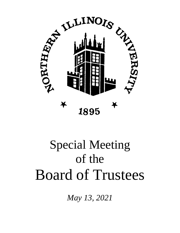

# Special Meeting of the Board of Trustees

*May 13, 2021*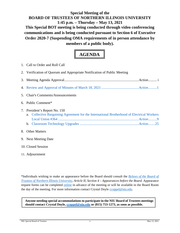# **Special Meeting of the BOARD OF TRUSTEES OF NORTHERN ILLINOIS UNIVERSITY 1:45 p.m. – Thursday – May 13, 2021 This Special BOT meeting is being conducted through video conferencing communications and is being conducted pursuant to Section 6 of Executive Order 2020-7 (Suspending OMA requirements of in person attendance by**

**members of a public body).**



| 1. Call to Order and Roll Call                                                                                              |
|-----------------------------------------------------------------------------------------------------------------------------|
| 2. Verification of Quorum and Appropriate Notification of Public Meeting                                                    |
|                                                                                                                             |
|                                                                                                                             |
| 5. Chair's Comments/Announcements                                                                                           |
| 6. Public Comment*                                                                                                          |
| 7. President's Report No. 150<br>a. Collective Bargaining Agreement for the International Brotherhood of Electrical Workers |
| 8. Other Matters                                                                                                            |
| 9. Next Meeting Date                                                                                                        |

- 10. Closed Session
- 11. Adjournment

\*Individuals wishing to make an appearance before the Board should consult the *[Bylaws of the Board of](http://www.niu.edu/board/bylaws/index.shtml)  [Trustees of Northern Illinois University,](http://www.niu.edu/board/bylaws/index.shtml) Article II, Section 4 – Appearances before the Board.* Appearance request forms can be completed [online](https://www.niu.edu/board/meetings/appearance-request.shtml) in advance of the meeting or will be available in the Board Room the day of the meeting. For more information contact Crystal Doyle [ccoppel@niu.edu.](mailto:ccoppel@niu.edu)

**Anyone needing special accommodations to participate in the NIU Board of Trustees meetings should contact Crystal Doyle, [ccoppel@niu.edu](mailto:ccoppel@niu.edu) or (815) 753-1273, as soon as possible.**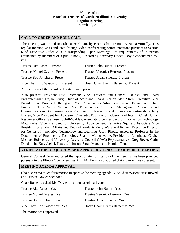#### Minutes of the **Board of Trustees of Northern Illinois University Regular Meeting** March 18, 2021

#### <span id="page-2-0"></span>**CALL TO ORDER AND ROLL CALL**

The meeting was called to order at 9:00 a.m. by Board Chair Dennis Barsema virtually. This regular meeting was conducted through video conferencing communications pursuant to Section 6 of Executive Order 2020-7 (Suspending Open Meetings Act requirements of in person attendance by members of a public body). Recording Secretary Crystal Doyle conducted a roll call.

| Trustee Rita Athas: Present       | Trustee John Butler: Present        |
|-----------------------------------|-------------------------------------|
| Trustee Montel Gayles: Present    | Trustee Veronica Herrero: Present   |
| Trustee Bob Pritchard: Present    | Trustee Aidan Shields: Present      |
| Vice Chair Eric Wasowicz: Present | Board Chair Dennis Barsema: Present |

All members of the Board of Trustees were present.

Also present: President Lisa Freeman; Vice President and General Counsel and Board Parliamentarian Bryan Perry; Chief of Staff and Board Liaison Matt Streb; Executive Vice President and Provost Beth Ingram; Vice President for Administration and Finance and Chief Financial Officer Sarah Chinniah; Vice President for Enrollment Management, Marketing and Communications Sol Jensen; Vice President for Research and Innovation Partnerships Jerry Blazey; Vice President for Academic Diversity, Equity and Inclusion and Interim Chief Human Resources Officer Vernese Edghill-Walden; Associate Vice President for Information Technology Matt Parks; Vice President for University Advancement Catherine Squires; Associate Vice President for Student Affairs and Dean of Students Kelly Wesener-Michael; Executive Director for Center of Innovative Technology and Learning Jason Rhode; Associate Professor in the Department of Engineering Technology Shanthi Muthuswamy; President of Longhouse Capital Michael Boisvert; and University Advisory Council (UAC) Representatives Greg Beyer, Cathy Doederlein, Katy Jaekel, Natasha Johnson, Sarah Marsh, and Kendall Thu.

#### **VERIFICATION OF QUORUM AND APPROPRIATE NOTICE OF PUBLIC MEETING**

General Counsel Perry indicated that appropriate notification of the meeting has been provided pursuant to the Illinois Open Meetings Act. Mr. Perry also advised that a quorum was present.

#### **MEETING AGENDA APPROVAL**

Chair Barsema asked for a motion to approve the meeting agenda. Vice Chair Wasowicz so moved, and Trustee Gayles seconded.

Chair Barsema asked Ms. Doyle to conduct a roll call vote.

| Trustee Rita Athas: Yes       | Trustee John Butler: Yes        |
|-------------------------------|---------------------------------|
| Trustee Montel Gayles: Yes    | Trustee Veronica Herrero: Yes   |
| Trustee Bob Pritchard: Yes    | Trustee Aidan Shields: Yes      |
| Vice Chair Eric Wasowicz: Yes | Board Chair Dennis Barsema: Yes |
| The motion was approved.      |                                 |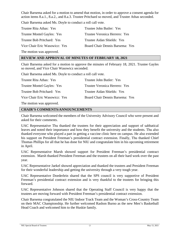Chair Barsema asked for a motion to amend that motion, in order to approve a consent agenda for action items 8.a.1., 8.a.2., and 8.a.3. Trustee Pritchard so moved, and Trustee Athas seconded.

Chair Barsema asked Ms. Doyle to conduct a roll call vote.

| Trustee Rita Athas: Yes       | Trustee John Butler: Yes        |
|-------------------------------|---------------------------------|
| Trustee Montel Gayles: Yes    | Trustee Veronica Herrero: Yes   |
| Trustee Bob Pritchard: Yes    | Trustee Aidan Shields: Yes      |
| Vice Chair Eric Wasowicz: Yes | Board Chair Dennis Barsema: Yes |
| The motion was approved.      |                                 |

#### **REVIEW AND APPROVAL OF MINUTES OF FEBRUARY 18, 2021**

Chair Barsema asked for a motion to approve the minutes of February 18, 2021. Trustee Gayles so moved, and Vice Chair Wasowicz seconded.

Chair Barsema asked Ms. Doyle to conduct a roll call vote.

| Trustee Rita Athas: Yes       | Trustee John Butler: Yes        |
|-------------------------------|---------------------------------|
| Trustee Montel Gayles: Yes    | Trustee Veronica Herrero: Yes   |
| Trustee Bob Pritchard: Yes    | Trustee Aidan Shields: Yes      |
| Vice Chair Eric Wasowicz: Yes | Board Chair Dennis Barsema: Yes |

The motion was approved.

#### **CHAIR'S COMMENTS/ANNOUNCEMENTS**

Chair Barsema welcomed the members of the University Advisory Council who were present and asked for their comments.

UAC Representative Thu thanked the trustees for their appreciation and support of sabbatical leaves and noted their importance and how they benefit the university and the students. Thu also thanked everyone who played a part in getting a vaccine clinic here on campus. He also extended his support on President Freeman's presidential contract extension. Finally, Thu thanked Chief Thomas Phillips for all that he has done for NIU and congratulate him in his upcoming retirement in April.

UAC Representative Marsh showed support for President Freeman's presidential contract extension. Marsh thanked President Freeman and the trustees on all their hard work over the past year.

UAC Representative Jaekel showed appreciation and thanked the trustees and President Freeman for their wonderful leadership and getting the university through a very tough year.

UAC Representative Doederlein shared that the SPS council is very supportive of President Freeman's presidential contract extension and is very thankful to the trustees for bringing this forward.

UAC Representative Johnson shared that the Operating Staff Council is very happy that the trustees are moving forward with President Freeman's presidential contract extension.

Chair Barsema congratulated the NIU Indoor Track Team and the Woman's Cross-Country Team on their MAC Championship. He further welcomed Rashon Burno as the new Men's Basketball Head Coach and welcomed him to the Huskie family.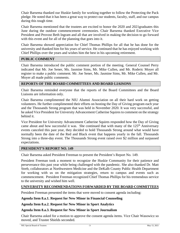Chair Barsema thanked our Huskie family for working together to follow the Protecting the Pack pledge. He noted that it has been a great way to protect our students, faculty, staff, and our campus during this tough time.

Chair Barsema mentioned that the trustees are excited to honor the 2020 and 2021graduates this June during the outdoor commencement ceremonies. Chair Barsema thanked Executive Vice President and Provost Beth Ingram and all that are involved in making the decision to go forward with this event and for all of the planning that goes into it.

Chair Barsema showed appreciation for Chief Thomas Phillips for all that he has done for the university and thanked him for his years of service. He continued that he has enjoyed working with Chief Phillips over the years and wishes him the best in his upcoming retirement.

# **PUBLIC COMMENT**

Chair Barsema introduced the public comment portion of the meeting. General Counsel Perry indicated that Mr. Joe Sener, Ms. Jasmine Sims, Mr. Mike Cullen, and Mr. Roderic Moyer all register to make a public comment. Mr. Joe Sener, Ms. Jasmine Sims, Mr. Mike Cullen, and Mr. Moyer all made public comments.

# **REPORTS OF THE BOARD COMMITTEES AND BOARD LIAISONS**

Chair Barsema reminded everyone that the reports of the Board Committees and the Board Liaisons are information only.

Chair Barsema complimented the NIU Alumni Association on all their hard work on getting volunteers. He further complimented their efforts on hosting the Day of Giving program each year and the Thousands Strong program that was held in November 2020. It was very successful, and he asked Vice President for University Advancement Catherine Squires to comment on the strategy behind it.

Vice President for University Advancement Catherine Squires responded how the Day of Giving came about and how successful it was. She continued that with many of the  $125<sup>th</sup>$  Anniversary events canceled this past year, they decided to hold Thousands Strong around what would have normally been the date of the Red and Black event that happens yearly in the fall. Thousands Strong into a three-day event. The Thousands Strong event raised over \$2 million and surpassed expectations.

# **PRESIDENT'S REPORT NO. 149**

Chair Barsema asked President Freeman to present the President's Report No. 149.

President Freeman took a moment to recognize the Huskie Community for their patience and perseverance this past year while being challenged with the pandemic. She also thanked Dr. Matt Streb, collaborators at Northwestern Medicine and the DeKalb County Public Health Department for working with us on the mitigation strategies, return to campus and events such as commencement. President Freeman recognized Chief Thomas Phillips for his tremendous service to the university and wished him well.

# **UNIVERSITY RECOMMENDATIONS FORWARDED BY THE BOARD COMMITTEES**

President Freeman presented the items that were moved to consent agenda including:

# **Agenda Item 8.a.1. Request for New Minor in Financial Counseling**

# **Agenda Item 8.a.2. Request for New Minor in Sport Analytics**

# **Agenda Item 8.a.3. Request for New Minor in Sport Journalism**

Chair Barsema asked for a motion to approve the consent agenda items. Vice Chair Wasowicz so moved, and Trustee Shields seconded.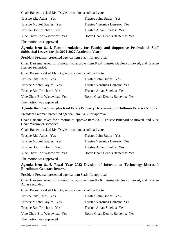Chair Barsema asked Ms. Doyle to conduct a roll call vote.

| Trustee Rita Athas: Yes       | Trustee John Butler: Yes        |
|-------------------------------|---------------------------------|
| Trustee Montel Gayles: Yes    | Trustee Veronica Herrero: Yes   |
| Trustee Bob Pritchard: Yes    | Trustee Aidan Shields: Yes      |
| Vice Chair Eric Wasowicz: Yes | Board Chair Dennis Barsema: Yes |
|                               |                                 |

The motion was approved.

# **Agenda Item 8.a.4. Recommendations for Faculty and Supportive Professional Staff Sabbatical Leaves for the 2021-2022 Academic Year**

President Freeman presented agenda item 8.a.4. for approval.

Chair Barsema asked for a motion to approve item 8.a.4. Trustee Gayles so moved, and Trustee Herrero seconded.

Chair Barsema asked Ms. Doyle to conduct a roll call vote.

| Trustee Rita Athas: Yes       | Trustee John Butler: Yes        |
|-------------------------------|---------------------------------|
| Trustee Montel Gayles: Yes    | Trustee Veronica Herrero: Yes   |
| Trustee Bob Pritchard: Yes    | Trustee Aidan Shields: Yes      |
| Vice Chair Eric Wasowicz: Yes | Board Chair Dennis Barsema: Yes |
| The motion was approved.      |                                 |

# **Agenda Item 8.a.5. Surplus Real Estate Property Determination Hoffman Estates Campus**

President Freeman presented agenda item 8.a.5. for approval.

Chair Barsema asked for a motion to approve item 8.a.5. Trustee Pritchard so moved, and Vice Chair Wasowicz seconded.

Chair Barsema asked Ms. Doyle to conduct a roll call vote.

| Trustee Rita Athas: Yes       | Trustee John Butler: Yes        |
|-------------------------------|---------------------------------|
| Trustee Montel Gayles: Yes    | Trustee Veronica Herrero: Yes   |
| Trustee Bob Pritchard: Yes    | Trustee Aidan Shields: Yes      |
| Vice Chair Eric Wasowicz: Yes | Board Chair Dennis Barsema: Yes |

The motion was approved.

#### **Agenda Item 8.a.6. Fiscal Year 2022 Division of Information Technology Microsoft Enrollment Contract Renewal**

President Freeman presented agenda item 8.a.6. for approval.

Chair Barsema asked for a motion to approve item 8.a.6. Trustee Gayles so moved, and Trustee Athas seconded.

Chair Barsema asked Ms. Doyle to conduct a roll call vote.

| Trustee Rita Athas: Yes       | Trustee John Butler: Yes        |
|-------------------------------|---------------------------------|
| Trustee Montel Gayles: Yes    | Trustee Veronica Herrero: Yes   |
| Trustee Bob Pritchard: Yes    | Trustee Aidan Shields: Yes      |
| Vice Chair Eric Wasowicz: Yes | Board Chair Dennis Barsema: Yes |
| The motion was approved.      |                                 |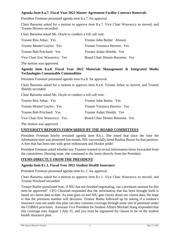# **Agenda Item 8.a.7. Fiscal Year 2022 Master Agreement Facility Contract Renewals**

President Freeman presented agenda item 8.a.7. for approval.

Chair Barsema asked for a motion to approve item 8.a.7. Vice Chair Wasowicz so moved, and Trustee Herrero seconded.

Chair Barsema asked Ms. Doyle to conduct a roll call vote.

| Trustee Rita Athas: Yes       | Trustee John Butler: Abstain    |
|-------------------------------|---------------------------------|
| Trustee Montel Gayles: Yes    | Trustee Veronica Herrero: Yes   |
| Trustee Bob Pritchard: Yes    | Trustee Aidan Shields: Yes      |
| Vice Chair Eric Wasowicz: Yes | Board Chair Dennis Barsema: Yes |
|                               |                                 |

The motion was approved.

#### **Agenda Item 8.a.8. Fiscal Year 2022 Materials Management & Integrated Media Technologies Consumable Commodities**

President Freeman presented agenda item 8.a.8. for approval.

Chair Barsema asked for a motion to approve item 8.a.8. Trustee Athas so moved, and Trustee Shields seconded.

Chair Barsema asked Ms. Doyle to conduct a roll call vote.

| Trustee Rita Athas: Yes       | Trustee John Butler: Yes        |
|-------------------------------|---------------------------------|
| Trustee Montel Gayles: Yes    | Trustee Veronica Herrero: Yes   |
| Trustee Bob Pritchard: Yes    | Trustee Aidan Shields: Yes      |
| Vice Chair Eric Wasowicz: Yes | Board Chair Dennis Barsema: Yes |

The motion was approved.

#### **UNIVERSITY REPORTS FORWARDED BY THE BOARD COMMITTEES**

President Freeman briefly revisited agenda item 8.b.1. She noted that since the time the information item was presented last month, NIU successfully hired Rashon Burno for that position. A hire that has been met with great enthusiasm and Huskie pride!

President Freeman asked whether any Trustees wanted to revisit information items forwarded from the committees. Hearing none, she continued to the items directly from the President.

#### **ITEMS DIRECTLY FROM THE PRESIDENT**

#### **Agenda Item 8.c.1. Fiscal Year 2022 Student Health Insurance**

President Freeman presented agenda item 8.c.1. for approval.

Chair Barsema asked for a motion to approve item 8.c.1. Vice Chair Wasowicz so moved, and Trustee Pritchard seconded.

Trustee Butler questioned how, if NIU has not finished negotiating, can a premium amount for this item be approved? CFO Chinniah responded that the information that has been brought forth is based on claims data to date. As time goes on and NIU gets clarity about our claims data, the hope is that the premium number will decrease. Trustee Butler followed up by asking if a student's insurance runs out under this plan can they continue coverage through some sort of premium under the COBRA provision. Assistant Vice President for Student Affairs Michael Stang responded that this coverage runs August 1-July 31, and you must be registered for classes to be on the student health insurance plan.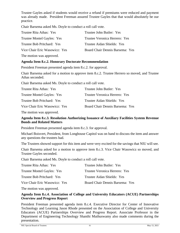Trustee Gayles asked if students would receive a refund if premiums were reduced and payment was already made. President Freeman assured Trustee Gayles that that would absolutely be our practice.

Chair Barsema asked Ms. Doyle to conduct a roll call vote.

| Trustee Rita Athas: Yes       | Trustee John Butler: Yes        |
|-------------------------------|---------------------------------|
| Trustee Montel Gayles: Yes    | Trustee Veronica Herrero: Yes   |
| Trustee Bob Pritchard: Yes    | Trustee Aidan Shields: Yes      |
| Vice Chair Eric Wasowicz: Yes | Board Chair Dennis Barsema: Yes |
|                               |                                 |

The motion was approved.

# **Agenda Item 8.c.2. Honorary Doctorate Recommendation**

President Freeman presented agenda item 8.c.2. for approval.

Chair Barsema asked for a motion to approve item 8.c.2. Trustee Herrero so moved, and Trustee Athas seconded.

Chair Barsema asked Ms. Doyle to conduct a roll call vote.

| Trustee Veronica Herrero: Yes   |  |
|---------------------------------|--|
| Trustee Aidan Shields: Yes      |  |
| Board Chair Dennis Barsema: Yes |  |
|                                 |  |

The motion was approved.

# **Agenda Item 8.c.3. Resolution Authorizing Issuance of Auxiliary Facilities System Revenue Bonds and Related Matters**

President Freeman presented agenda item 8.c.3. for approval.

Michael Boisvert, President, from Longhouse Capitol was on hand to discuss the item and answer any questions the trustees had.

The Trustees showed support for this item and were very excited for the savings that NIU will see.

Chair Barsema asked for a motion to approve item 8.c.3. Vice Chair Wasowicz so moved, and Trustee Gayles seconded.

Chair Barsema asked Ms. Doyle to conduct a roll call vote.

| Trustee Rita Athas: Yes       | Trustee John Butler: Yes        |  |
|-------------------------------|---------------------------------|--|
| Trustee Montel Gayles: Yes    | Trustee Veronica Herrero: Yes   |  |
| Trustee Bob Pritchard: Yes    | Trustee Aidan Shields: Yes      |  |
| Vice Chair Eric Wasowicz: Yes | Board Chair Dennis Barsema: Yes |  |

The motion was approved.

#### **Agenda Item 8.c.4. Association of College and University Educators (ACUE) Partnerships Overview and Progress Report**

President Freeman presented agenda item 8.c.4. Executive Director for Center of Innovative Technology and Learning Jason Rhode presented on the Association of College and University Educators (ACUE) Partnerships Overview and Progress Report. Associate Professor in the Department of Engineering Technology Shanthi Muthuswamy also made comments during the presentation.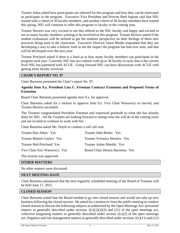Trustee Athas asked how participants are selected for this program and how they can be motivated to participate in the program. Executive Vice President and Provost Beth Ingram said that NIU started with a cohort of 30 faculty members, and another cohort of 30 faculty members have started this spring. NIU will continue to offer this program to faculty in the coming year.

Trustee Herrero was very excited to see this offered to the NIU faculty and happy and excited to see so many faculty members wanting to be involved in this program. Trustee Herrero asked if the student evaluations will be utilized to get the students perspective on their feelings of these new practices being used in the classroom. Executive Director Jason Rhode responded that they are developing a way to take a holistic look to see the impact the program has had over time, and that will be developed over the next year.

Trustee Pritchard asked if there is a limit as to how many faculty members can participate in the program each year. Currently NIU has two cohorts with up to 30 faculty in each, that is the current level NIU has partnered with ACUE. Going forward NIU can have discussions with ACUE with getting more faculty involved.

#### **CHAIR'S REPORT NO. 97**

Chair Barsema presented the Chair's report No. 97.

#### **Agenda Item 9.a. President Lisa C. Freeman Contract Extension and Proposed Terms of Extension**

Board Chair Barsema presented agenda item 9.a. for approval.

Chair Barsema asked for a motion to approve item 9.a. Vice Chair Wasowicz so moved, and Trustee Herrero seconded.

The Trustees congratulated President Freeman and expressed gratitude to what she has already done for NIU. All the Trustees are looking forward to seeing what she will do in the coming years and are excited to continue to work with her.

Chair Barsema asked Ms. Doyle to conduct a roll call vote.

| Trustee Rita Athas: Yes       | Trustee John Butler: Yes        |  |
|-------------------------------|---------------------------------|--|
| Trustee Montel Gayles: Yes    | Trustee Veronica Herrero: Yes   |  |
| Trustee Bob Pritchard: Yes    | Trustee Aidan Shields: Yes      |  |
| Vice Chair Eric Wasowicz: Yes | Board Chair Dennis Barsema: Yes |  |
|                               |                                 |  |

The motion was approved.

#### **OTHER MATTERS**

No other matters were discussed.

#### **NEXT MEETING DATE**

Chair Barsema announced that the next regularly scheduled meeting of the Board of Trustees will be held June 17, 2021.

#### **CLOSED SESSION**

Chair Barsema stated that the Board needed to go into closed session and would not take up new business following the closed session. He asked for a motion to close the public meeting to conduct closed session to discuss the following subjects as authorized by the Open Meetings Act: personnel matters as generally described under sections  $2(c)(1)(2)(3)$  and  $(21)$  of the open meetings act; collective bargaining matters as generally described under section  $2(c)(2)$  of the open meetings act; litigation and risk management matters as generally described under sections 2(c)(11) and (12)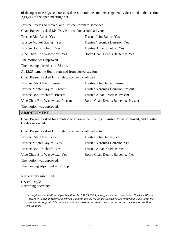of the open meetings act; and closed session minutes matters as generally described under section  $2(c)(21)$  of the open meetings act.

Trustee Shields so moved, and Trustee Pritchard seconded.

Chair Barsema asked Ms. Doyle to conduct a roll call vote.

| Trustee Rita Athas: Yes                               | Trustee John Butler: Yes            |  |  |
|-------------------------------------------------------|-------------------------------------|--|--|
| Trustee Montel Gayles: Yes                            | Trustee Veronica Herrero: Yes       |  |  |
| Trustee Bob Pritchard: Yes                            | Trustee Aidan Shields: Yes          |  |  |
| Vice Chair Eric Wasowicz: Yes                         | Board Chair Dennis Barsema: Yes     |  |  |
| The motion was approved.                              |                                     |  |  |
| The meeting closed at 11:33 a.m.                      |                                     |  |  |
| At 12:25 p.m. the Board returned from closed session. |                                     |  |  |
| Chair Barsema asked Dr. Streb to conduct a roll call. |                                     |  |  |
| Trustee Rita Athas: Present                           | Trustee John Butler: Present        |  |  |
| Trustee Montel Gayles: Present                        | Trustee Veronica Herrero: Present   |  |  |
| Trustee Bob Pritchard: Present                        | Trustee Aidan Shields: Present      |  |  |
| Vice Chair Eric Wasowicz: Present                     | Board Chair Dennis Barsema: Present |  |  |
| The motion was approved.                              |                                     |  |  |

#### **ADJOURNMENT**

Chair Barsema asked for a motion to adjourn the meeting. Trustee Athas so moved, and Trustee Gayles seconded.

Chair Barsema asked Dr. Streb to conduct a roll call vote.

| Trustee Rita Athas: Yes       | Trustee John Butler: Yes        |  |  |  |
|-------------------------------|---------------------------------|--|--|--|
| Trustee Montel Gayles: Yes    | Trustee Veronica Herrero: Yes   |  |  |  |
| Trustee Bob Pritchard: Yes    | Trustee Aidan Shields: Yes      |  |  |  |
| Vice Chair Eric Wasowicz: Yes | Board Chair Dennis Barsema: Yes |  |  |  |
| The motion was approved.      |                                 |  |  |  |

The meeting adjourned at 12:30 p.m.

Respectfully submitted,

Crystal Doyle Recording Secretary

> *In compliance with Illinois Open Meetings Act 5 ILCS 120/1, et seq, a verbatim record of all Northern Illinois University Board of Trustees meetings is maintained by the Board Recording Secretary and is available for review upon request. The minutes contained herein represent a true and accurate summary of the Board proceedings.*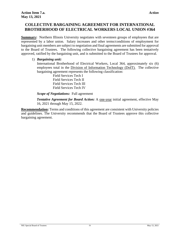# <span id="page-10-0"></span>**COLLECTIVE BARGAINING AGREEMENT FOR INTERNATIONAL BROTHERHOOD OF ELECTRICAL WORKERS LOCAL UNION #364**

**Summary:** Northern Illinois University negotiates with seventeen groups of employees that are represented by a labor union. Salary increases and other terms/conditions of employment for bargaining unit members are subject to negotiation and final agreements are submitted for approval to the Board of Trustees. The following collective bargaining agreement has been tentatively approved, ratified by the bargaining unit, and is submitted to the Board of Trustees for approval.

#### 1) *Bargaining unit:*

International Brotherhood of Electrical Workers, Local 364, approximately six (6) employees total in the Division of Information Technology (DoIT). The collective bargaining agreement represents the following classification:

> Field Services Tech I Field Services Tech II Field Services Tech III Field Services Tech IV

*Scope of Negotiations:* Full agreement

*Tentative Agreement for Board Action:* A one-year initial agreement, effective May 16, 2021 through May 15, 2022.

**Recommendation:** Terms and conditions of this agreement are consistent with University policies and guidelines. The University recommends that the Board of Trustees approve this collective bargaining agreement.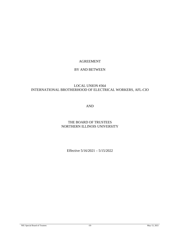# AGREEMENT

#### BY AND BETWEEN

# LOCAL UNION #364 INTERNATIONAL BROTHERHOOD OF ELECTRICAL WORKERS, AFL-CIO

AND

# THE BOARD OF TRUSTEES NORTHERN ILLINOIS UNIVERSITY

Effective 5/16/2021 – 5/15/2022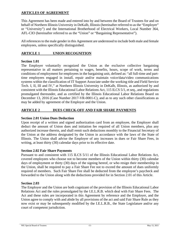# **ARTICLES OF AGREEMENT**

This Agreement has been made and entered into by and between the Board of Trustees for and on behalf of Northern Illinois University in DeKalb, Illinois (hereinafter referred to as the "Employer" or "University") and the International Brotherhood of Electrical Workers, Local Number 364, AFL-CIO (hereinafter referred to as the "Union" or "Bargaining Representative").

All references to the male gender in this Agreement are understood to include both male and female employees, unless specifically distinguished.

# **ARTICLE 1 UNION RECOGNITION**

# **Section 1.01**

The Employer voluntarily recognized the Union as the exclusive collective bargaining representative in all matters pertaining to wages, benefits, hours, scope of work, terms and conditions of employment for employees in the bargaining unit, defined as: "all full-time and parttime employees engaged in install, repair and/or maintain voice/data/video communications systems within the classification of IT Support Associate under the working title and Field Service Tech. I, II, III and IV," at Northern Illinois University in DeKalb, Illinois, as authorized by and consistent with the Illinois Educational Labor Relations Act, 115 ILCS 5/1, et seq., and regulations promulgated thereunder, and as certified by the Illinois Educational Labor Relations Board on December 13, 2016 (Case Number 2017-VR-0001-C), and as to any such other classifications as may be added by agreement of the Employer and the Union.

# **ARTICLE 2 DUES CHECK-OFF AND FAIR SHARE PAYMENTS**

## **Section 2.01 Union Dues Deduction**

Upon receipt of a written and signed authorization card from an employee, the Employer shall deduct the amount of Union dues and initiation fee required of all Union members, plus any authorized increase therein, and shall remit such deductions monthly to the Financial Secretary of the Union at the address designated by the Union in accordance with the laws of the State of Illinois. The Union shall advise the Employer of any increases in dues or Fair Share Fees, in writing, at least thirty (30) calendar days prior to its effective date.

#### **Section 2.02 Fair Share Payments**

Pursuant to and consistent with 115 ILCS 5/11 of the Illinois Educational Labor Relations Act, covered employees who choose not to become members of the Union within thirty (30) calendar days of employment or thirty (30) days of the signing hereof, or who resign their membership in the Union, shall be required to pay a Fair Share Fee not to exceed the amount of dues uniformly required of members. Such Fair Share Fee shall be deducted from the employee's paycheck and forwarded to the Union along with the deductions provided for in Section 2.01 of this Article.

#### **Section 2.03**

The Employer and the Union are both cognizant of the provision of the Illinois Educational Labor Relations Act and the rules promulgated by the I.E.L.R.B. which deal with Fair Share Fees. The Act and these rules are incorporated in this Agreement by reference and the Employer, and the Union agree to comply with and abide by all provisions of the act and said Fair Share Rule as they now exist or may be subsequently modified by the I.E.L.R.B., the State Legislature and/or any court of competent jurisdiction.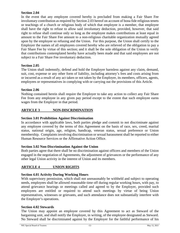## **Section 2.04**

In the event that any employee covered hereby is precluded from making a Fair Share Fee involuntary contribution as required by Section 2.03 hereof on account of bona fide religious tenets or teachings of a church or religious body of which that employee is a member, that employee shall have the right to refuse to allow said involuntary deduction, provided, however, that said right to refuse shall continue only so long as the employee makes contributions at least equal in amount to the Fair Share Fee amount to a non-religious charitable organization mutually agreed upon by the employee so refusing and the Union. For this purpose, the Union shall certify to the Employer the names of all employees covered hereby who are relieved of the obligation to pay a Fair Share Fee by virtue of this section; and it shall be the sole obligation of the Union to verify that contributions contemplated hereby have actually been made and that said employees are not subject to a Fair Share Fee involuntary deduction.

# **Section 2.05**

The Union shall indemnify, defend and hold the Employer harmless against any claim, demand, suit, cost, expense or any other form of liability, including attorney's fees and costs arising from or incurred as a result of any act taken or not taken by the Employer, its members, officers, agents, employees or representatives in complying with or carrying out the provisions of this Article.

# **Section 2.06**

Nothing contained herein shall require the Employer to take any action to collect any Fair Share Fee from any employee in any given pay period except to the extent that such employee earns wages from the Employer in that period.

# **ARTICLE 3 NON-DISCRIMINATION**

# **Section 3.01 Prohibition Against Discrimination**

In accordance with applicable laws, both parties pledge and commit to not discriminate against any employee covered by the terms of this Agreement on the basis of race, sex, creed, marital status, national origin, age, religion, handicap, veteran status, sexual preference or Union membership. Complaints involving discrimination or sexual harassment shall be reported to either Human Resource Services or the Affirmative Action Office.

# **Section 3.02 Non-Discrimination Against the Union**

Both parties agree that there shall be no discrimination against officers and members of the Union engaged in the negotiation of Agreements, the adjustment of grievances or the performance of any other legal Union activity in the interest of Union and its members.

# **ARTICLE 4 UNION RIGHTS**

# **Section 4.01 Activity During Working Hours**

With supervisory permission, which shall not unreasonably be withheld and subject to operating needs, employees shall be allowed reasonable time off during regular working hours, with pay, to attend grievance hearings or meetings called and agreed to by the Employer, provided such employees are entitled or required to attend such meetings by virtue of being Union representatives, witnesses or grievants, and such attendance does not substantially interfere with the Employer's operations.

# **Section 4.02 Stewards**

The Union may appoint an employee covered by this Agreement to act as Steward of the bargaining unit, and shall notify the Employer, in writing, of the employee designated as Steward. No Steward shall be discriminated against by the Employer for the faithful performance of his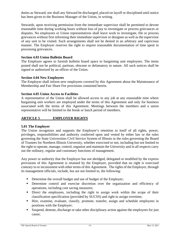duties as Steward, nor shall any Steward be discharged, placed on layoff or disciplined until notice has been given to the Business Manager of the Union, in writing.

Stewards, upon receiving permission from the immediate supervisor shall be permitted to devote reasonable time during working hours without loss of pay to investigate or process grievances or disputes. No employees or Union representatives shall leave work to investigate, file or process grievances without first informing their immediate supervisor or designee as well as the supervisor of any unit to be visited. Such arrangements shall not be denied in an arbitrary and capricious manner. The Employer reserves the right to require reasonable documentation of time spent in processing grievances.

# **Section 4.03 Union Bulletin Board**

The Employer agrees to furnish bulletin board space to bargaining unit employees. The items posted shall not be political, partisan, obscene or defamatory in nature. All such notices shall be signed or authorized by an officer of the Union.

#### **Section 4.04 New Employees**

The Employer shall inform new employees covered by this Agreement about the Maintenance of Membership and Fair Share Fee provisions contained herein.

# **Section 4.05 Union Access to Facilities**

A representative of the Union shall be allowed access to any job at any reasonable time where bargaining unit workers are employed under the terms of this Agreement and only for business associated with the terms of this Agreement. Meetings between the members and a union representative will be limited to the break or lunch period of members.

# **ARTICLE 5 EMPLOYER RIGHTS**

#### **5.01 The Employer**

The Union recognizes and supports the Employer's retention to itself of all rights, power, privileges, responsibilities and authority conferred upon and vested by either law or the rules governing the State Universities Civil Service System of Illinois or the rules governing the Board of Trustees for Northern Illinois University, whether exercised or not, including but not limited to the right to operate, manage, control, organize and maintain the University and in all respects carry out the ordinary, regular and customary functions of management.

Any power or authority that the Employer has not abridged, delegated or modified by the express provisions of this Agreement is retained by the Employer, provided that no right is exercised contrary to or inconsistent with other terms of this Agreement. The rights of the Employer, through its management officials, include, but are not limited to, the following:

- Determine the overall budget and use of budget of the Employer;
- Determine control and exercise discretion over the organization and efficiency of operations, including cost saving measures;
- Direct the employees, including the right to assign work within the scope of their classification specification (provided by SUCSS) and right to assign overtime;
- Hire, examine, evaluate, classify, promote, transfer, assign and schedule employees in positions with the Employer;
- Suspend, demote, discharge or take other disciplinary action against the employees for just cause;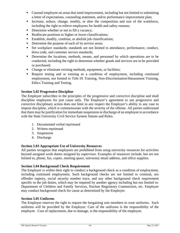- Counsel employee on areas that need improvement, including but not limited to submitting a letter of expectations, counseling statement, and/or performance improvement plan;
- Increase, reduce, change, modify, or alter the composition and size of the workforce, including the right to relieve employees for health and safety reasons;
- Determine whether or not to fill a vacancy;
- Reallocate positions to higher or lower classifications;
- Establish, modify, combine, or abolish job classifications;
- Determine the purpose of each of its service areas;
- Set workplace standards; standards are not limited to attendance, performance, conduct, dress code, and customer service standards;
- Determine the locations, methods, means, and personnel by which operations are to be conducted, including the right to determine whether goods and services are to be provided or purchased;
- Change or eliminate existing methods, equipment, or facilities;
- Require testing and or training as a condition of employment, including continued employment, not limited to Title IX Training, Non-Discrimination/Harassment Training, Ethics Training and Testing.

# **Section 5.02 Progressive Discipline**

The Employer subscribes to the principles of the progressive and corrective discipline and shall discipline employees for just cause only. The Employer's agreement to use progressive and corrective disciplinary action does not limit in any respect the Employer's ability in any case to impose discipline, which is commensurate with the severity of the offense. All parties understand that there may be justification for immediate suspension or discharge of an employee in accordance with the State University Civil Service System Statute and Rules.

- 1. Documented verbal reprimand
- 2. Written reprimand
- 3. Suspension
- 4. Discharge

#### **Section 5.03 Appropriate Use of University Resources**

All parties recognize that employees are prohibited from using university resources for activities beyond assigned work duties assigned by supervisor. Examples of resources include, but are not limited to, phone, fax, copier, meeting space, university email address, and office supplies.

#### **Section 5.04 Background Check Requirement**

The Employer is within their right to conduct a background check as a condition of employment, including continued employment. Such background checks are not limited to criminal, sex offender registry, social security number trace, and any other background check requirement specific to the job duties, which may be required by another agency including but not limited to: Department of Children and Family Services, Nuclear Regulatory Commission, etc. Employer may conduct background check for cause as determined by the Employer.

#### **Section 5.05 Uniforms**

The Employer reserves the right to require the bargaining unit members to wear uniforms. Such uniforms will be provided by the Employer. Care of the uniforms is the responsibility of the employee. Cost of replacement, due to damage, is the responsibility of the employee.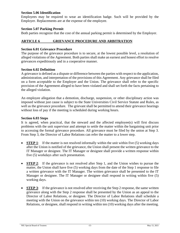#### **Section 5.06 Identification**

Employees may be required to wear an identification badge. Such will be provided by the Employer. Replacements are at the expense of the employee.

## **Section 5.07 Parking Permit**

Both parties recognize that the cost of the annual parking permit is determined by the Employer.

# **ARTICLE 6 GRIEVANCE PROCEDURE AND ARBITRATION**

## **Section 6.01 Grievance Procedure**

The purpose of the grievance procedure is to secure, at the lowest possible level, a resolution of alleged violations of the Agreement. Both parties shall make an earnest and honest effort to resolve grievances expeditiously and in a cooperative manner.

# **Section 6.02 Definition**

A grievance is defined as a dispute or difference between the parties with respect to the application, administration, and interpretation of the provisions of this Agreement. Any grievance shall be filed on a form acceptable to the Employer and the Union. The grievance shall refer to the specific provision of the Agreement alleged to have been violated and shall set forth the facts pertaining to the alleged violation.

An employee allegation that a demotion, discharge, suspension, or other disciplinary action was imposed without just cause is subject to the State Universities Civil Service Statute and Rules, as well as the grievance procedure. The grievant shall be permitted to attend their grievance hearings without loss of pay if the meeting is scheduled during working hours.

#### **Section 6.03 Steps**

It is agreed, when practical, that the steward and the affected employee(s) will first discuss problems with the unit supervisor and attempt to settle the matter within the bargaining unit prior to accessing the formal grievance procedure. All grievance must be filed by the union at Step 3. From Step 3, the Director of Labor Relations can refer the matter to a lower step.

- **STEP 1**: If the matter is not resolved informally within the unit within five (5) working days after the Union is notified of the grievance, the Union shall present the written grievance to the IT Manager or designee. The IT Manager or designee shall provide a written response within five (5) workdays after such presentation.
- **STEP 2**: If the grievance is not resolved after Step 1, and the Union wishes to pursue the matter, the Union shall have five (5) working days from the date of the Step 1 response to file a written grievance with the IT Manager. The written grievance shall be presented to the IT Manager or designee. The IT Manager or designee shall respond in writing within five (5) working days.
- **STEP 3**: If the grievance is not resolved after receiving the Step 2 response, the same written grievance along with the Step 2 response shall be presented by the Union as an appeal to the Director of Labor Relations, or designee. The Director of Labor Relations shall schedule a meeting with the Union on the grievance within ten (10) working days. The Director of Labor Relations, or designee, shall respond in writing within ten (10) working days after the meeting.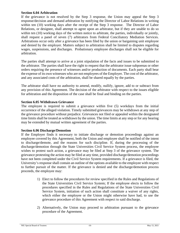#### **Section 6.04 Arbitration**

If the grievance is not resolved by the Step 3 response, the Union may appeal the Step 3 response/decision and demand arbitration by notifying the Director of Labor Relations in writing within ten (10) working days after the receipt of the Step 3 response. The Director of Labor Relations, or designee, shall attempt to agree upon an arbitrator, but if they are unable to do so within ten (10) working days of the written notice to arbitrate, the parties, individually or jointly, shall request a panel of seven (7) arbitrators from Federal Conciliatory Mediation Services. Arbitrations occur only after a grievance has been filed by the union or bargaining unit employee and denied by the employer. Matters subject to arbitration shall be limited to disputes regarding wages, suspensions, and discharges. Probationary employee discharges shall not be eligible for arbitration.

The parties shall attempt to arrive at a joint stipulation of the facts and issues to be submitted to the arbitrator. The parties shall have the right to request that the arbitrator issue subpoenas or other orders requiring the presence of witnesses and/or production of documents. Each party shall bear the expense of its own witnesses who are not employees of the Employer. The cost of the arbitrator, and any associated costs of the arbitration, shall be shared equally by the parties.

The arbitrator shall have no authority to amend, modify, nullify, ignore, add to or subtract from any provision of this Agreement. The decision of the arbitrator with respect to the issues eligible for arbitration and the disposition of the case shall be final and binding on the parties.

#### **Section 6.05 Withdrawn Grievance**

The employee is required to submit a grievance within five (5) workdays from the initial occurrence of the alleged violation. Timely submitted grievances may be withdrawn at any step of the grievance procedure without prejudice. Grievances not filed or appealed within the designated time limits shall be treated as withdrawn by the union. The time limits at any step or for any hearing may be extended by mutual written agreement of the parties.

#### **Section 6.06 Discharge/Demotion**

If the Employer finds it necessary to initiate discharge or demotion proceedings against an employee covered by this Agreement, both the Union and employee shall be notified of the intent to discharge/demote, and the reasons for such discipline. If, during the processing of the discharge/demotion through the State Universities Civil Service System process, the employee wishes to protest such action, a grievance may be filed at Step 3 of the grievance system. The grievance protesting the action may be filed at any time, provided discharge/demotion proceedings have not been completed under the Civil Service System requirements. If a grievance is filed, the University's response shall contain an outline of the options available to the employee with respect to further pursuit of the matter. If the grievance is denied and the discharge/demotion process proceeds, the employee may:

- 1) Elect to follow the procedures for review specified in the Rules and Regulations of the State Universities Civil Service System; If the employee elects to follow the procedures specified in the Rules and Regulations of the State Universities Civil Service System, initiation of such action shall constitute a waiver of any rights, which either the employee or the Union might otherwise have had, to use the grievance procedure of this Agreement with respect to said discharge.
- 2) Alternatively, the Union may proceed to arbitration pursuant to the grievance procedure of the Agreement.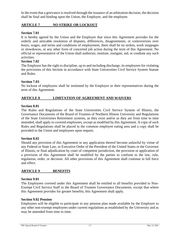In the event that a grievance is resolved through the issuance of an arbitration decision, the decision shall be final and binding upon the Union, the Employer, and the employee.

# **ARTICLE 7 NO STRIKE OR LOCKOUT**

#### **Section 7.01**

It is hereby agreed by the Union and the Employer that since this Agreement provides for the orderly and amicable resolution of disputes, differences, disagreements, or controversies over hours, wages, and terms and conditions of employment, there shall be no strikes, work stoppages or slowdowns, or any other form of concerted job action during the term of this Agreement. No official or representative of the Union shall authorize, institute, instigate, aid, or condone any such activities.

#### **Section 7.02**

The Employer has the right to discipline, up to and including discharge, its employees for violating the provisions of this Section in accordance with State Universities Civil Service System Statute and Rules.

#### **Section 7.03**

No lockout of employees shall be instituted by the Employer or their representatives during the term of this Agreement.

# **ARTICLE 8 LIMITATION OF AGREEMENT AND WAIVERS**

#### **Section 8.01**

The Rules and Regulations of the State Universities Civil Service System of Illinois, the Governance Documents of the Board of Trustees of Northern Illinois University and Regulations of the State Universities Retirement systems, as they exist and/or as they are from time to time amended, shall apply to covered employees, except as modified by this Agreement. A copy of such Rules and Regulations shall be placed in the common employee eating area and a copy shall be provided to the Union and employees upon request.

#### **Section 8.02**

Should any provision of this Agreement or any application thereof become unlawful by virtue of any Federal or State Law, or Executive Order of the President of the United States or the Governor of Illinois, or final adjudication by court of competent jurisdiction, the provision or application of a provision of this Agreement shall be modified by the parties to conform to the law, rule, regulation, order, or decision. All other provisions of this Agreement shall continue in full force and effect.

#### **ARTICLE 9 BENEFITS**

#### **Section 9.01**

The Employees covered under this Agreement shall be entitled to all benefits provided to Non-Exempt Civil Service Staff in the Board of Trustees Governance Documents, except that where this Agreement provides for greater benefits, this Agreement shall apply.

#### **Section 9.02 Pension**

Employees will be eligible to participate in any pension plan made available by the Employer to any other non-exempt employees under current regulations as established by the University and as may be amended from time to time.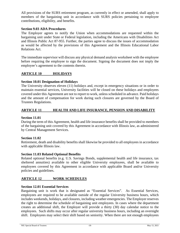All provisions of the SURS retirement program, as currently in effect or amended, shall apply to members of the bargaining unit in accordance with SURS policies pertaining to employee contributions, eligibility, and benefits.

#### **Section 9.03 ADA Procedures**

The Employer agrees to notify the Union when accommodations are requested within the bargaining unit under State or Federal legislation, including the Americans with Disabilities Act and Illinois Public Act 87-955. Further, the parties agree to discuss the issues of accommodation as would be affected by the provisions of this Agreement and the Illinois Educational Labor Relations Act.

The immediate supervisor will discuss any physical demand analysis worksheet with the employee before requiring the employee to sign the document. Signing the document does not imply the employee's agreement to the contents therein.

# **ARTICLE 10 HOLIDAYS**

#### **Section 10.01 Designation of Holidays**

The University observes eleven (11) holidays and, except in emergency situations or in order to maintain essential services, University facilities will be closed on these holidays and employees covered under this Agreement are not to report to work, unless scheduled in advance. Paid holidays and the amount of compensation for work during such closures are governed by the Board of Trustees Regulations.

# **ARTICLE 11 HEALTH AND LIFE INSURANCE, PENSION AND DISABILITY**

#### **Section 11.01**

During the term of this Agreement, health and life insurance benefits shall be provided to members of the bargaining unit covered by this Agreement in accordance with Illinois law, as administered by Central Management Services.

#### **Section 11.02**

Retirement, death and disability benefits shall likewise be provided to all employees in accordance with applicable Illinois law.

#### **Section 11.03 Related Optional Benefits**

Related optional benefits (e.g. U.S. Savings Bonds, supplemental health and life insurance, tax sheltered annuities) available to other eligible University employees, shall be available to employees covered by this Agreement in accordance with applicable Board and/or University policies and guidelines.

#### **ARTICLE 12 WORK SCHEDULES**

#### **Section 12.01 Essential Services**

Bargaining unit is work that is designated as "Essential Services". As Essential Services, employees are required to be available outside of the regular University business hours, which includes weekends, holidays, and closures, including weather emergencies. The Employer reserves the right to determine the schedule of bargaining unit employees. In cases where the department creates an additional shift, the Employer will provide a thirty (30) day calendar notice to the employees. Such shifts may occur after regular university business hours, including an overnight shift. Employees may select their shift based on seniority. When there are not enough employees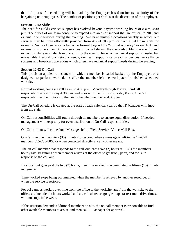that bid to a shift, scheduling will be made by the Employer based on inverse seniority of the bargaining unit employees. The number of positions per shift is at the discretion of the employer.

#### **Section 12.02 Shifts**

The need for Field Services support has evolved beyond daytime working hours of 8 a.m.-4:30 p.m. The duties of our team continue to expand into areas of support that are critical to NIU and external client services during the evening. We have multiple occasions weekly in which our services may be more efficiently provided from 4:30-11:00 p.m. or from a 3-11 p.m. shift for example. Some of our work is better performed beyond the "normal workday" as our NIU and external customers cannot have services impacted during their workday. Many academic and extracurricular events also take place during the evening for which technical support is needed but unavailable. Beyond our network needs, our team supports card-reading devices, surveillance systems and broadcast operations which often have technical support needs during the evening.

#### **Section 12.03 On Call**

This provision applies to instances in which a member is called backed by the Employer, or a designee, to perform work duties after the member left the workplace for his/her scheduled workday.

Normal working hours are 8:00 a.m. to 4:30 p.m., Monday through Friday. On-Call responsibilities start Friday 4:30 p.m. and goes until the following Friday 8 a.m. On-Call responsibilities then rotates to the next scheduled member at 4:30 p.m.

The On-Call schedule is created at the start of each calendar year by the IT Manager with input from the staff.

On-Call responsibilities will rotate through all members to ensure equal distribution. If needed, management will keep tally for even distribution of On-Call responsibilities.

On-Call callout will come from Messages left in Field Services Voice Mail Box.

On-Call member has thirty (30) minutes to respond when a message is left in the On-Call mailbox. 815-753-8060 or when contacted directly via any other means.

The on-call member that responds to the call-out, earns two (2) hours at 1.5x's the members hourly rate, beginning when member arrives at the office to get truck, parts, and tools, in response to the call out.

If call/callout goes past the two (2) hours, then time worked is accumulated in fifteen (15) minute increments.

Time worked stops being accumulated when the member is relieved by another resource, or when the service is restored.

For off campus work, travel time from the office to the worksite, and from the worksite to the office, are included in hours worked and are calculated as google maps fastest route drive times, with no stops in between.

If the situation demands additional members on site, the on-call member is responsible to find other available members to assist, and then call IT Manager for approval.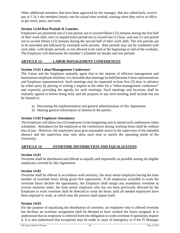Other additional members that have been approved by the manager, that are called-back, receive pay at 1.5x's the members hourly rate for actual time worked, starting when they arrive at office to get truck, parts, and tools.

# **Section 12.04 Rest Periods & Lunches**

Employees are permitted one (1) rest period, not to exceed fifteen (15) minutes during the first half of their work shift, one (1) unpaid lunch period not to exceed one (1) hour, and one (1) rest period not to exceed fifteen (15) minutes during the second half of their work shift. The rest periods are to be preceded and followed by extended work periods. Rest periods may not be combined with each other, with breaks periods, or not allowed to be used at the beginning or end of the workday. The Employer will determine the member's schedule for breaks and rest periods.

# **ARTICLE 13 LABOR MANAGEMENT CONFERENCES**

# **Section 13.01 Labor/Management Conference**

The Union and the Employer mutually agree that in the interest of efficient management and harmonious employee relations, it is desirable that meetings be held between Union representatives and Employer representatives. Such meetings may be requested at least five (5) days in advance by either party by placing in writing a request to the other for a "labor-management conference" and expressly providing the agenda for such meetings. Such meetings and locations shall be mutually agreed to before being held, and the purpose of any such meeting shall include but not be limited to:

- a) Discussing the implementation and general administration of this Agreement.
- b) Sharing general information of interest to the parties.

# **Section 13.02 Employee Attendance**

The Employer will allow two (2) employees in the bargaining unit to attend such conferences when scheduled. Attendance by the employee at the conferences during working hours shall be without loss of pay. However, the employees must give reasonable notice to the supervisor of the intended absence and the supervisor may only deny such time to satisfy the operating needs of the University.

# **ARTICLE 14 OVERTIME DISTRIBUTION AND EQUALIZATION**

#### **Section 14.01**

Overtime shall be distributed and offered as equally and impartially as possible among all eligible employees covered by this Agreement.

#### **Section 14.02**

Overtime shall be offered in accordance with seniority, the most senior employee having the least number of overtime hours being given first opportunity. If all employees available to work the overtime hours decline the opportunity, the Employer shall assign any mandatory overtime in reverse seniority order; the least senior employee who has not been previously directed by the Employer to work overtime shall be directed to work the hours until all needed employees have been required to work, at which time the process shall repeat itself.

#### **Section 14.03**

For the purpose of equalizing the distribution of overtime, an employee who is offered overtime but declines an overtime assignment shall be deemed to have worked the hours assigned. It is understood that no employee is relieved from the obligation to work overtime if operations require it. It is also understood that exceptions may be made in cases of emergency or if the IT Manager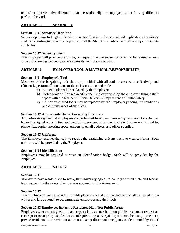or his/her representative determine that the senior eligible employee is not fully qualified to perform the work.

# **ARTICLE 15 SENIORITY**

## **Section 15.01 Seniority Definition**

Seniority pertains to length of service in a classification. The accrual and application of seniority shall be according to the seniority provisions of the State Universities Civil Service System Statute and Rules.

#### **Section 15.02 Seniority Lists**

The Employer will provide the Union, on request, the current seniority list, to be revised at least annually, showing each employee's seniority and relative position.

#### **ARTICLE 16 EMPLOYER TOOL & MATERIAL RESPONSIBILITY**

#### **Section 16.01 Employer's Tools**

Members of the bargaining unit shall be provided with all tools necessary to effectively and efficiently perform all functions of their classification and trade.

- a) Broken tools will be replaced by the Employer;
- b) Stolen tools will be replaced by the Employer pending the employee filing a theft report with the Northern Illinois University Department of Public Safety;
- c) Lost or misplaced tools may be replaced by the Employer pending the conditions and circumstances of such loss.

#### **Section 16.02 Appropriate Use of University Resources**

All parties recognize that employees are prohibited from using university resources for activities beyond assigned work duties assigned by supervisor. Examples include, but are not limited to, phone, fax, copier, meeting space, university email address, and office supplies.

#### **Section 16.03 Uniforms**

The Employer reserves the right to require the bargaining unit members to wear uniforms. Such uniforms will be provided by the Employer.

#### **Section 16.04 Identification**

Employees may be required to wear an identification badge. Such will be provided by the Employer.

# **ARTICLE 17 SAFETY**

#### **Section 17.01**

In order to have a safe place to work, the University agrees to comply with all state and federal laws concerning the safety of employees covered by this Agreement.

#### **Section 17.02**

The Employer agrees to provide a suitable place to eat and change clothes. It shall be heated in the winter and large enough to accommodate employees and their tools.

#### **Section 17.03 Employees Entering Residence Hall Non-Public Areas**

Employees who are assigned to make repairs in residence hall non-public areas must request an escort prior to entering a student-resident's private area. Bargaining unit members may not enter a private residential room without an escort, except during an emergency as determined by the IT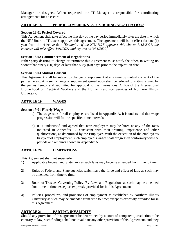Manager, or designee. When requested, the IT Manager is responsible for coordinating arrangements for an escort.

# **ARTICLE 18 PERIOD COVERED, STATUS DURING NEGOTIATIONS**

# **Section 18.01 Period Covered**

This Agreement shall take effect the first day of the pay period immediately after the date in which the NIU Board of Trustees approves this agreement. The agreement will be in effect for one (1) year from the effective date *[Example: if the NIU BOT approves this cba on 3/18/2021, the contract will take effect 4/01/2021 and expires on 3/31/2022].* 

# **Section 18.02 Commencement of Negotiations**

Either party desiring to change or terminate this Agreement must notify the other, in writing no sooner that ninety (90) days or later than sixty (60) days prior to the expiration date.

# **Section 18.03 Mutual Consent**

This Agreement shall be subject to change or supplement at any time by mutual consent of the parties hereto. Any such change or supplement agreed upon shall be reduced to writing, signed by the parties hereto, and submitted for approval to the International Office of the International Brotherhood of Electrical Workers and the Human Resource Services of Northern Illinois University.

# **ARTICLE 19 WAGES**

# **Section 19.01 Hourly Wages**

- a) The wage rates for all employees are listed in Appendix A. It is understood that wage progression will follow specified time intervals.
- b) It is understood and agreed that new employees may be hired at any of the rates indicated in Appendix A, consistent with their training, experience and other qualifications, as determined by the Employer. With the exception of the employee's first year of employment, such employee's wages shall progress in conformity with the periods and amounts shown in Appendix A.

# **ARTICLE 20 LIMITATIONS**

This Agreement shall not supersede:

- 1) Applicable Federal and State laws as such laws may become amended from time to time;
- 2) Rules of Federal and State agencies which have the force and effect of law; as such may be amended from time to time;
- 3) Board of Trustees Governing Policy, By-Laws and Regulations as such may be amended from time to time; except as expressly provided for in this Agreement;
- 4) Policies, procedures, and provisions of employment as established by Northern Illinois University as such may be amended from time to time; except as expressly provided for in this Agreement.

# **ARTICLE 21 PARTIAL INVALIDITY**

Should any provision of this agreement be determined by a court of competent jurisdiction to be contrary to law, such findings shall not invalidate any other provision of this Agreement, and they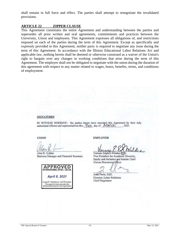shall remain in full force and effect. The parties shall attempt to renegotiate the invalidated provisions.

#### **ARTICLE 22 ZIPPER CLAUSE**

This Agreement constitutes the entire Agreement and understanding between the parties and supersedes all prior written and oral agreements, commitments and practices between the University, Union and employees. This Agreement expresses all obligations of, and restrictions imposed on each of the parties during the term of this Agreement. Except as specifically and expressly provided in this Agreement, neither party is required to negotiate any issue during the term of this Agreement. In accordance with the Illinois Educational Labor Relations Act and applicable law, nothing herein shall be deemed or otherwise construed as a waiver of the Union's right to bargain over any changes in working conditions that arise during the term of this Agreement. The employer shall not be obligated to negotiate with the union during the duration of this agreement with respect to any matter related to wages, hours, benefits, terms, and conditions of employment.

#### **SIGNATURES**

IN WITNESS WHEREOF: the parties hereto have executed this Agreement by their duly authorized officers and representatives this  $\frac{q\psi_0}{q}$  day of  $Mac\psi_0$ . 2021.

**UNION** 

Alan R. Golden Business Manager and Financial Secretary



April 8, 2021

Lonnie R. Stephenson, Int'l President Louine K. Stephenson, Int i Fresident<br>This approval does not make the<br>International a party to this agreement

**EMPLOYER** 

Vernese Edghill-Walden. (PhD.

Vice President for Academic Diversity. Equity and Inclusion and Interim Chief Human Resources, Officer

Jesse Perez, EdD. Director, Labor Relations Chief Negotiator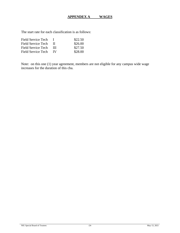# **APPENDEX A WAGES**

The start rate for each classification is as follows:

| Field Service Tech |     | \$22.50 |
|--------------------|-----|---------|
| Field Service Tech | -11 | \$26.00 |
| Field Service Tech | Ш   | \$27.50 |
| Field Service Tech | TV. | \$28.00 |

Note: on this one (1) year agreement, members are not eligible for any campus wide wage increases for the duration of this cba.